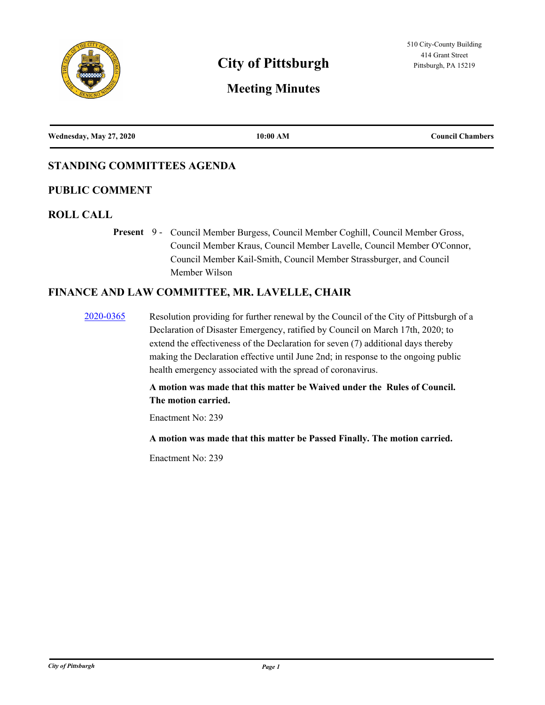

# **City of Pittsburgh Pittsburgh Pittsburgh, PA 15219**

# **Meeting Minutes**

| Wednesday, May 27, 2020 | 10:00 AM | <b>Council Chambers</b> |
|-------------------------|----------|-------------------------|
|                         |          |                         |

# **STANDING COMMITTEES AGENDA**

# **PUBLIC COMMENT**

# **ROLL CALL**

Present 9 - Council Member Burgess, Council Member Coghill, Council Member Gross, Council Member Kraus, Council Member Lavelle, Council Member O'Connor, Council Member Kail-Smith, Council Member Strassburger, and Council Member Wilson

# **FINANCE AND LAW COMMITTEE, MR. LAVELLE, CHAIR**

[2020-0365](http://pittsburgh.legistar.com/gateway.aspx?m=l&id=/matter.aspx?key=25158) Resolution providing for further renewal by the Council of the City of Pittsburgh of a Declaration of Disaster Emergency, ratified by Council on March 17th, 2020; to extend the effectiveness of the Declaration for seven (7) additional days thereby making the Declaration effective until June 2nd; in response to the ongoing public health emergency associated with the spread of coronavirus.

> **A motion was made that this matter be Waived under the Rules of Council. The motion carried.**

Enactment No: 239

**A motion was made that this matter be Passed Finally. The motion carried.**

Enactment No: 239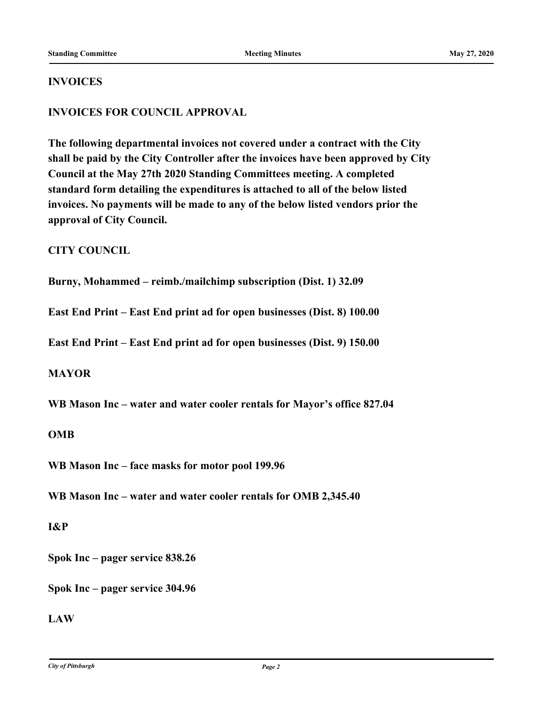### **INVOICES**

# **INVOICES FOR COUNCIL APPROVAL**

**The following departmental invoices not covered under a contract with the City shall be paid by the City Controller after the invoices have been approved by City Council at the May 27th 2020 Standing Committees meeting. A completed standard form detailing the expenditures is attached to all of the below listed invoices. No payments will be made to any of the below listed vendors prior the approval of City Council.**

# **CITY COUNCIL**

**Burny, Mohammed – reimb./mailchimp subscription (Dist. 1) 32.09**

**East End Print – East End print ad for open businesses (Dist. 8) 100.00**

**East End Print – East End print ad for open businesses (Dist. 9) 150.00**

# **MAYOR**

**WB Mason Inc – water and water cooler rentals for Mayor's office 827.04**

#### **OMB**

**WB Mason Inc – face masks for motor pool 199.96**

**WB Mason Inc – water and water cooler rentals for OMB 2,345.40**

#### **I&P**

**Spok Inc – pager service 838.26**

**Spok Inc – pager service 304.96**

# **LAW**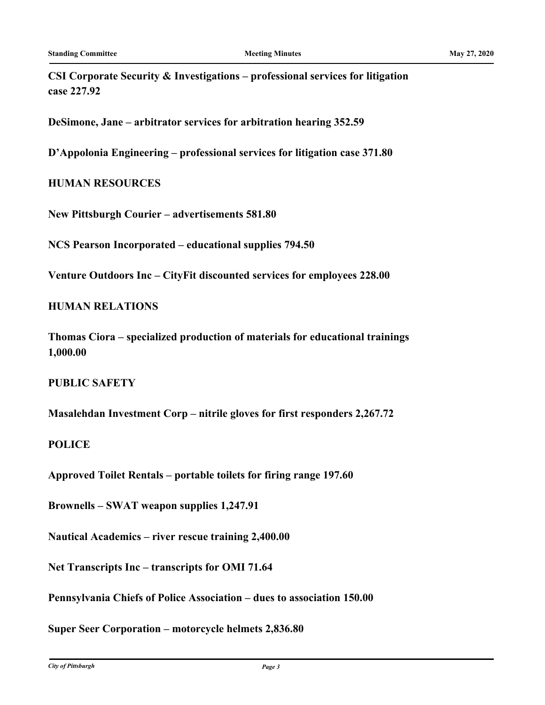**CSI Corporate Security & Investigations – professional services for litigation case 227.92**

**DeSimone, Jane – arbitrator services for arbitration hearing 352.59**

**D'Appolonia Engineering – professional services for litigation case 371.80**

# **HUMAN RESOURCES**

**New Pittsburgh Courier – advertisements 581.80**

**NCS Pearson Incorporated – educational supplies 794.50**

**Venture Outdoors Inc – CityFit discounted services for employees 228.00**

# **HUMAN RELATIONS**

**Thomas Ciora – specialized production of materials for educational trainings 1,000.00**

# **PUBLIC SAFETY**

**Masalehdan Investment Corp – nitrile gloves for first responders 2,267.72**

#### **POLICE**

**Approved Toilet Rentals – portable toilets for firing range 197.60**

**Brownells – SWAT weapon supplies 1,247.91**

**Nautical Academics – river rescue training 2,400.00**

**Net Transcripts Inc – transcripts for OMI 71.64**

**Pennsylvania Chiefs of Police Association – dues to association 150.00**

**Super Seer Corporation – motorcycle helmets 2,836.80**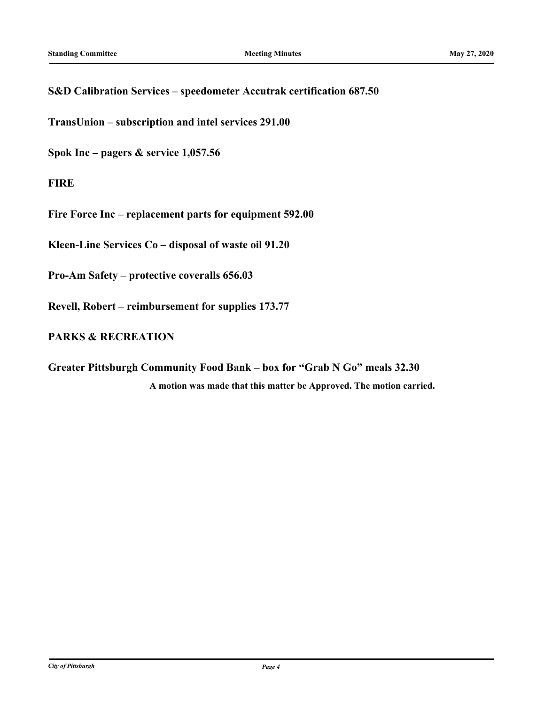# **S&D Calibration Services – speedometer Accutrak certification 687.50**

**TransUnion – subscription and intel services 291.00**

**Spok Inc – pagers & service 1,057.56**

**FIRE**

**Fire Force Inc – replacement parts for equipment 592.00**

**Kleen-Line Services Co – disposal of waste oil 91.20**

**Pro-Am Safety – protective coveralls 656.03**

**Revell, Robert – reimbursement for supplies 173.77**

# **PARKS & RECREATION**

**Greater Pittsburgh Community Food Bank – box for "Grab N Go" meals 32.30 A motion was made that this matter be Approved. The motion carried.**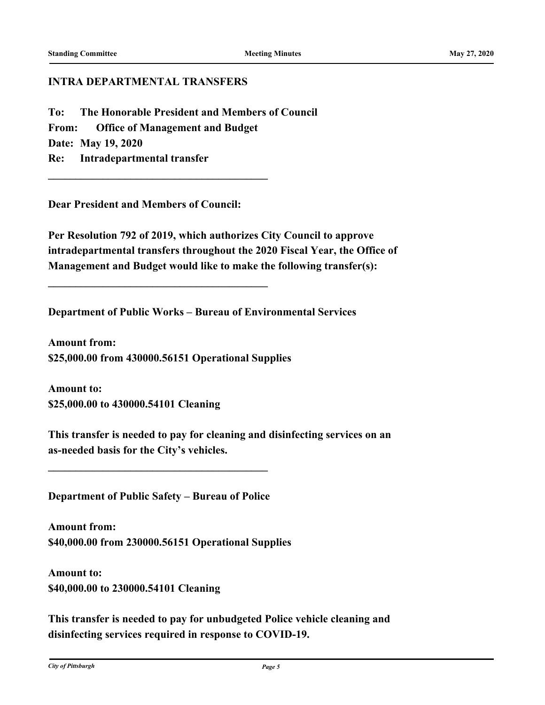### **INTRA DEPARTMENTAL TRANSFERS**

**To: The Honorable President and Members of Council From: Office of Management and Budget Date: May 19, 2020 Re: Intradepartmental transfer**

**Dear President and Members of Council:**

**\_\_\_\_\_\_\_\_\_\_\_\_\_\_\_\_\_\_\_\_\_\_\_\_\_\_\_\_\_\_\_\_\_\_\_\_\_\_\_\_**

**\_\_\_\_\_\_\_\_\_\_\_\_\_\_\_\_\_\_\_\_\_\_\_\_\_\_\_\_\_\_\_\_\_\_\_\_\_\_\_\_**

**Per Resolution 792 of 2019, which authorizes City Council to approve intradepartmental transfers throughout the 2020 Fiscal Year, the Office of Management and Budget would like to make the following transfer(s):**

**Department of Public Works – Bureau of Environmental Services**

**Amount from: \$25,000.00 from 430000.56151 Operational Supplies**

**Amount to: \$25,000.00 to 430000.54101 Cleaning**

**This transfer is needed to pay for cleaning and disinfecting services on an as-needed basis for the City's vehicles.**

**Department of Public Safety – Bureau of Police**

**\_\_\_\_\_\_\_\_\_\_\_\_\_\_\_\_\_\_\_\_\_\_\_\_\_\_\_\_\_\_\_\_\_\_\_\_\_\_\_\_**

**Amount from: \$40,000.00 from 230000.56151 Operational Supplies**

**Amount to: \$40,000.00 to 230000.54101 Cleaning**

**This transfer is needed to pay for unbudgeted Police vehicle cleaning and disinfecting services required in response to COVID-19.**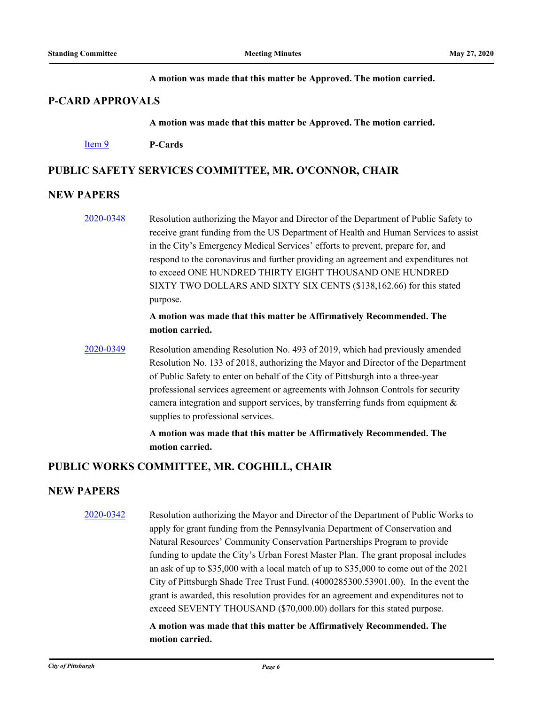#### **A motion was made that this matter be Approved. The motion carried.**

# **P-CARD APPROVALS**

#### **A motion was made that this matter be Approved. The motion carried.**

#### [Item 9](http://pittsburgh.legistar.com/gateway.aspx?m=l&id=/matter.aspx?key=25167) **P-Cards**

# **PUBLIC SAFETY SERVICES COMMITTEE, MR. O'CONNOR, CHAIR**

#### **NEW PAPERS**

[2020-0348](http://pittsburgh.legistar.com/gateway.aspx?m=l&id=/matter.aspx?key=25140) Resolution authorizing the Mayor and Director of the Department of Public Safety to receive grant funding from the US Department of Health and Human Services to assist in the City's Emergency Medical Services' efforts to prevent, prepare for, and respond to the coronavirus and further providing an agreement and expenditures not to exceed ONE HUNDRED THIRTY EIGHT THOUSAND ONE HUNDRED SIXTY TWO DOLLARS AND SIXTY SIX CENTS (\$138,162.66) for this stated purpose.

# **A motion was made that this matter be Affirmatively Recommended. The motion carried.**

[2020-0349](http://pittsburgh.legistar.com/gateway.aspx?m=l&id=/matter.aspx?key=25141) Resolution amending Resolution No. 493 of 2019, which had previously amended Resolution No. 133 of 2018, authorizing the Mayor and Director of the Department of Public Safety to enter on behalf of the City of Pittsburgh into a three-year professional services agreement or agreements with Johnson Controls for security camera integration and support services, by transferring funds from equipment  $\&$ supplies to professional services.

> **A motion was made that this matter be Affirmatively Recommended. The motion carried.**

# **PUBLIC WORKS COMMITTEE, MR. COGHILL, CHAIR**

# **NEW PAPERS**

[2020-0342](http://pittsburgh.legistar.com/gateway.aspx?m=l&id=/matter.aspx?key=25134) Resolution authorizing the Mayor and Director of the Department of Public Works to apply for grant funding from the Pennsylvania Department of Conservation and Natural Resources' Community Conservation Partnerships Program to provide funding to update the City's Urban Forest Master Plan. The grant proposal includes an ask of up to \$35,000 with a local match of up to \$35,000 to come out of the 2021 City of Pittsburgh Shade Tree Trust Fund. (4000285300.53901.00). In the event the grant is awarded, this resolution provides for an agreement and expenditures not to exceed SEVENTY THOUSAND (\$70,000.00) dollars for this stated purpose.

> **A motion was made that this matter be Affirmatively Recommended. The motion carried.**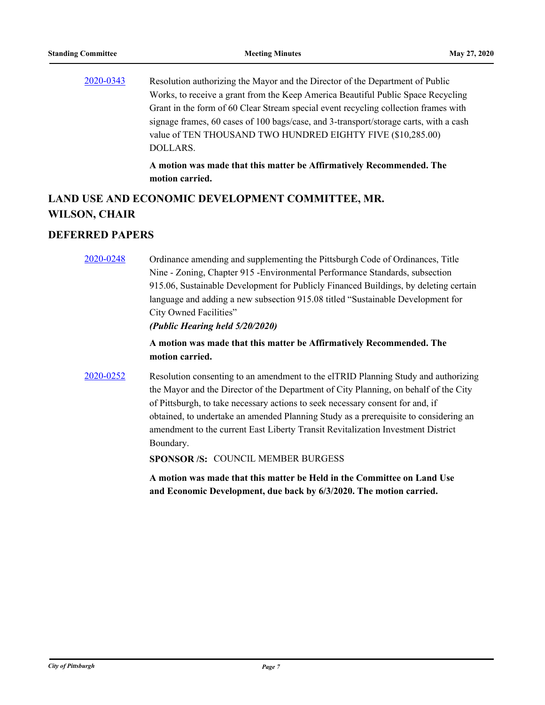[2020-0343](http://pittsburgh.legistar.com/gateway.aspx?m=l&id=/matter.aspx?key=25135) Resolution authorizing the Mayor and the Director of the Department of Public Works, to receive a grant from the Keep America Beautiful Public Space Recycling Grant in the form of 60 Clear Stream special event recycling collection frames with signage frames, 60 cases of 100 bags/case, and 3-transport/storage carts, with a cash value of TEN THOUSAND TWO HUNDRED EIGHTY FIVE (\$10,285.00) DOLLARS.

> **A motion was made that this matter be Affirmatively Recommended. The motion carried.**

# **LAND USE AND ECONOMIC DEVELOPMENT COMMITTEE, MR. WILSON, CHAIR**

# **DEFERRED PAPERS**

[2020-0248](http://pittsburgh.legistar.com/gateway.aspx?m=l&id=/matter.aspx?key=25036) Ordinance amending and supplementing the Pittsburgh Code of Ordinances, Title Nine - Zoning, Chapter 915 -Environmental Performance Standards, subsection 915.06, Sustainable Development for Publicly Financed Buildings, by deleting certain language and adding a new subsection 915.08 titled "Sustainable Development for City Owned Facilities"

*(Public Hearing held 5/20/2020)*

# **A motion was made that this matter be Affirmatively Recommended. The motion carried.**

[2020-0252](http://pittsburgh.legistar.com/gateway.aspx?m=l&id=/matter.aspx?key=25040) Resolution consenting to an amendment to the elTRID Planning Study and authorizing the Mayor and the Director of the Department of City Planning, on behalf of the City of Pittsburgh, to take necessary actions to seek necessary consent for and, if obtained, to undertake an amended Planning Study as a prerequisite to considering an amendment to the current East Liberty Transit Revitalization Investment District Boundary.

**SPONSOR /S:** COUNCIL MEMBER BURGESS

**A motion was made that this matter be Held in the Committee on Land Use and Economic Development, due back by 6/3/2020. The motion carried.**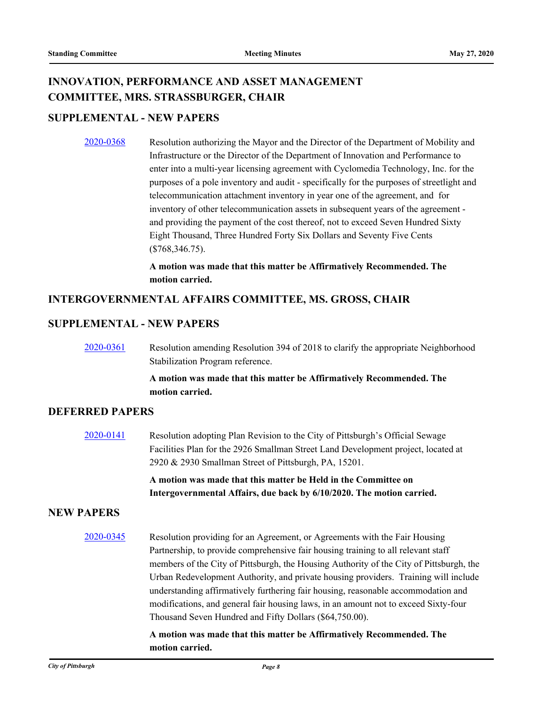# **INNOVATION, PERFORMANCE AND ASSET MANAGEMENT COMMITTEE, MRS. STRASSBURGER, CHAIR**

# **SUPPLEMENTAL - NEW PAPERS**

[2020-0368](http://pittsburgh.legistar.com/gateway.aspx?m=l&id=/matter.aspx?key=25161) Resolution authorizing the Mayor and the Director of the Department of Mobility and Infrastructure or the Director of the Department of Innovation and Performance to enter into a multi-year licensing agreement with Cyclomedia Technology, Inc. for the purposes of a pole inventory and audit - specifically for the purposes of streetlight and telecommunication attachment inventory in year one of the agreement, and for inventory of other telecommunication assets in subsequent years of the agreement and providing the payment of the cost thereof, not to exceed Seven Hundred Sixty Eight Thousand, Three Hundred Forty Six Dollars and Seventy Five Cents (\$768,346.75).

> **A motion was made that this matter be Affirmatively Recommended. The motion carried.**

# **INTERGOVERNMENTAL AFFAIRS COMMITTEE, MS. GROSS, CHAIR**

# **SUPPLEMENTAL - NEW PAPERS**

[2020-0361](http://pittsburgh.legistar.com/gateway.aspx?m=l&id=/matter.aspx?key=25154) Resolution amending Resolution 394 of 2018 to clarify the appropriate Neighborhood Stabilization Program reference.

### **A motion was made that this matter be Affirmatively Recommended. The motion carried.**

# **DEFERRED PAPERS**

[2020-0141](http://pittsburgh.legistar.com/gateway.aspx?m=l&id=/matter.aspx?key=24926) Resolution adopting Plan Revision to the City of Pittsburgh's Official Sewage Facilities Plan for the 2926 Smallman Street Land Development project, located at 2920 & 2930 Smallman Street of Pittsburgh, PA, 15201.

> **A motion was made that this matter be Held in the Committee on Intergovernmental Affairs, due back by 6/10/2020. The motion carried.**

# **NEW PAPERS**

[2020-0345](http://pittsburgh.legistar.com/gateway.aspx?m=l&id=/matter.aspx?key=25137) Resolution providing for an Agreement, or Agreements with the Fair Housing Partnership, to provide comprehensive fair housing training to all relevant staff members of the City of Pittsburgh, the Housing Authority of the City of Pittsburgh, the Urban Redevelopment Authority, and private housing providers. Training will include understanding affirmatively furthering fair housing, reasonable accommodation and modifications, and general fair housing laws, in an amount not to exceed Sixty-four Thousand Seven Hundred and Fifty Dollars (\$64,750.00).

#### **A motion was made that this matter be Affirmatively Recommended. The motion carried.**